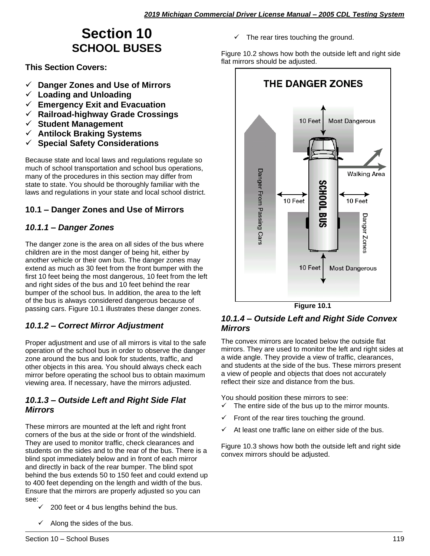# **Section 10 SCHOOL BUSES**

**This Section Covers:**

- ✓ **Danger Zones and Use of Mirrors**
- ✓ **Loading and Unloading**
- ✓ **Emergency Exit and Evacuation**
- ✓ **Railroad-highway Grade Crossings**
- ✓ **Student Management**
- ✓ **Antilock Braking Systems**
- ✓ **Special Safety Considerations**

Because state and local laws and regulations regulate so much of school transportation and school bus operations, many of the procedures in this section may differ from state to state. You should be thoroughly familiar with the laws and regulations in your state and local school district.

### **10.1 – Danger Zones and Use of Mirrors**

### *10.1.1 – Danger Zones*

The danger zone is the area on all sides of the bus where children are in the most danger of being hit, either by another vehicle or their own bus. The danger zones may extend as much as 30 feet from the front bumper with the first 10 feet being the most dangerous, 10 feet from the left and right sides of the bus and 10 feet behind the rear bumper of the school bus. In addition, the area to the left of the bus is always considered dangerous because of passing cars. Figure 10.1 illustrates these danger zones.

### *10.1.2 – Correct Mirror Adjustment*

Proper adjustment and use of all mirrors is vital to the safe operation of the school bus in order to observe the danger zone around the bus and look for students, traffic, and other objects in this area. You should always check each mirror before operating the school bus to obtain maximum viewing area. If necessary, have the mirrors adjusted.

#### *10.1.3 – Outside Left and Right Side Flat Mirrors*

These mirrors are mounted at the left and right front corners of the bus at the side or front of the windshield. They are used to monitor traffic, check clearances and students on the sides and to the rear of the bus. There is a blind spot immediately below and in front of each mirror and directly in back of the rear bumper. The blind spot behind the bus extends 50 to 150 feet and could extend up to 400 feet depending on the length and width of the bus. Ensure that the mirrors are properly adjusted so you can see:

- 200 feet or 4 bus lengths behind the bus.
- Along the sides of the bus.

 $\checkmark$  The rear tires touching the ground.

Figure 10.2 shows how both the outside left and right side flat mirrors should be adjusted.



**Figure 10.1**

#### *10.1.4 – Outside Left and Right Side Convex Mirrors*

The convex mirrors are located below the outside flat mirrors. They are used to monitor the left and right sides at a wide angle. They provide a view of traffic, clearances, and students at the side of the bus. These mirrors present a view of people and objects that does not accurately reflect their size and distance from the bus.

You should position these mirrors to see:

- The entire side of the bus up to the mirror mounts.
- Front of the rear tires touching the ground.
- At least one traffic lane on either side of the bus.

Figure 10.3 shows how both the outside left and right side convex mirrors should be adjusted.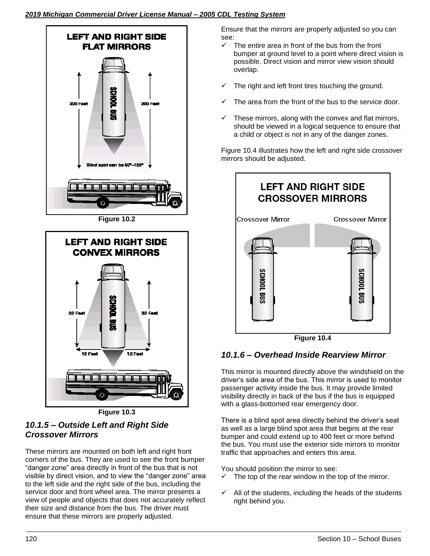

**Figure 10.2**



**Figure 10.3**

### *10.1.5 – Outside Left and Right Side Crossover Mirrors*

These mirrors are mounted on both left and right front corners of the bus. They are used to see the front bumper "danger zone" area directly in front of the bus that is not visible by direct vision, and to view the "danger zone" area to the left side and the right side of the bus, including the service door and front wheel area. The mirror presents a view of people and objects that does not accurately reflect their size and distance from the bus. The driver must ensure that these mirrors are properly adjusted.

Ensure that the mirrors are properly adjusted so you can see:

- $\checkmark$  The entire area in front of the bus from the front bumper at ground level to a point where direct vision is possible. Direct vision and mirror view vision should overlap.
- The right and left front tires touching the ground.
- The area from the front of the bus to the service door.
- $\checkmark$  These mirrors, along with the convex and flat mirrors, should be viewed in a logical sequence to ensure that a child or object is not in any of the danger zones.

Figure 10.4 illustrates how the left and right side crossover mirrors should be adjusted.



**Figure 10.4**

### *10.1.6 – Overhead Inside Rearview Mirror*

This mirror is mounted directly above the windshield on the driver's side area of the bus. This mirror is used to monitor passenger activity inside the bus. It may provide limited visibility directly in back of the bus if the bus is equipped with a glass-bottomed rear emergency door.

There is a blind spot area directly behind the driver's seat as well as a large blind spot area that begins at the rear bumper and could extend up to 400 feet or more behind the bus. You must use the exterior side mirrors to monitor traffic that approaches and enters this area.

You should position the mirror to see:

- $\checkmark$  The top of the rear window in the top of the mirror.
- $\checkmark$  All of the students, including the heads of the students right behind you.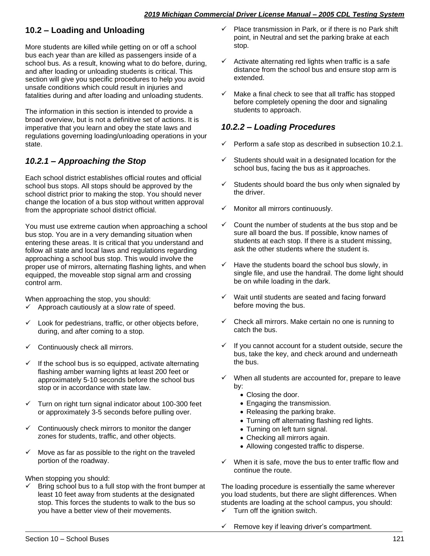#### **10.2 – Loading and Unloading**

More students are killed while getting on or off a school bus each year than are killed as passengers inside of a school bus. As a result, knowing what to do before, during, and after loading or unloading students is critical. This section will give you specific procedures to help you avoid unsafe conditions which could result in injuries and fatalities during and after loading and unloading students.

The information in this section is intended to provide a broad overview, but is not a definitive set of actions. It is imperative that you learn and obey the state laws and regulations governing loading/unloading operations in your state.

#### *10.2.1 – Approaching the Stop*

Each school district establishes official routes and official school bus stops. All stops should be approved by the school district prior to making the stop. You should never change the location of a bus stop without written approval from the appropriate school district official.

You must use extreme caution when approaching a school bus stop. You are in a very demanding situation when entering these areas. It is critical that you understand and follow all state and local laws and regulations regarding approaching a school bus stop. This would involve the proper use of mirrors, alternating flashing lights, and when equipped, the moveable stop signal arm and crossing control arm.

When approaching the stop, you should:

- $\checkmark$  Approach cautiously at a slow rate of speed.
- ✓ Look for pedestrians, traffic, or other objects before, during, and after coming to a stop.
- $\checkmark$  Continuously check all mirrors.
- If the school bus is so equipped, activate alternating flashing amber warning lights at least 200 feet or approximately 5-10 seconds before the school bus stop or in accordance with state law.
- ✓ Turn on right turn signal indicator about 100-300 feet or approximately 3-5 seconds before pulling over.
- $\checkmark$  Continuously check mirrors to monitor the danger zones for students, traffic, and other objects.
- Move as far as possible to the right on the traveled portion of the roadway.

When stopping you should:

 $\checkmark$  Bring school bus to a full stop with the front bumper at least 10 feet away from students at the designated stop. This forces the students to walk to the bus so you have a better view of their movements.

- ✓ Place transmission in Park, or if there is no Park shift point, in Neutral and set the parking brake at each stop.
- Activate alternating red lights when traffic is a safe distance from the school bus and ensure stop arm is extended.
- Make a final check to see that all traffic has stopped before completely opening the door and signaling students to approach.

#### *10.2.2 – Loading Procedures*

- Perform a safe stop as described in subsection 10.2.1.
- Students should wait in a designated location for the school bus, facing the bus as it approaches.
- Students should board the bus only when signaled by the driver.
- Monitor all mirrors continuously.
- $\checkmark$  Count the number of students at the bus stop and be sure all board the bus. If possible, know names of students at each stop. If there is a student missing, ask the other students where the student is.
- Have the students board the school bus slowly, in single file, and use the handrail. The dome light should be on while loading in the dark.
- ✓ Wait until students are seated and facing forward before moving the bus.
- $\checkmark$  Check all mirrors. Make certain no one is running to catch the bus.
- $\checkmark$  If you cannot account for a student outside, secure the bus, take the key, and check around and underneath the bus.
- ✓ When all students are accounted for, prepare to leave by:
	- Closing the door.
	- Engaging the transmission.
	- Releasing the parking brake.
	- Turning off alternating flashing red lights.
	- Turning on left turn signal.
	- Checking all mirrors again.
	- Allowing congested traffic to disperse.
- When it is safe, move the bus to enter traffic flow and continue the route.

The loading procedure is essentially the same wherever you load students, but there are slight differences. When students are loading at the school campus, you should:

- $\checkmark$  Turn off the ignition switch.
- ✓ Remove key if leaving driver's compartment.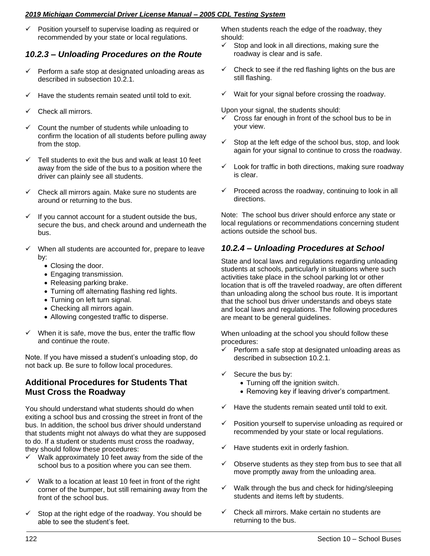✓ Position yourself to supervise loading as required or recommended by your state or local regulations.

### *10.2.3 – Unloading Procedures on the Route*

- ✓ Perform a safe stop at designated unloading areas as described in subsection 10.2.1.
- Have the students remain seated until told to exit.
- Check all mirrors.
- Count the number of students while unloading to confirm the location of all students before pulling away from the stop.
- $\checkmark$  Tell students to exit the bus and walk at least 10 feet away from the side of the bus to a position where the driver can plainly see all students.
- $\checkmark$  Check all mirrors again. Make sure no students are around or returning to the bus.
- $\checkmark$  If you cannot account for a student outside the bus, secure the bus, and check around and underneath the bus.
- When all students are accounted for, prepare to leave by:
	- Closing the door.
	- Engaging transmission.
	- Releasing parking brake.
	- Turning off alternating flashing red lights.
	- Turning on left turn signal.
	- Checking all mirrors again.
	- Allowing congested traffic to disperse.
- When it is safe, move the bus, enter the traffic flow and continue the route.

Note. If you have missed a student's unloading stop, do not back up. Be sure to follow local procedures.

#### **Additional Procedures for Students That Must Cross the Roadway**

You should understand what students should do when exiting a school bus and crossing the street in front of the bus. In addition, the school bus driver should understand that students might not always do what they are supposed to do. If a student or students must cross the roadway, they should follow these procedures:

- $\checkmark$  Walk approximately 10 feet away from the side of the school bus to a position where you can see them.
- $\checkmark$  Walk to a location at least 10 feet in front of the right corner of the bumper, but still remaining away from the front of the school bus.
- Stop at the right edge of the roadway. You should be able to see the student's feet.

When students reach the edge of the roadway, they should:

- Stop and look in all directions, making sure the roadway is clear and is safe.
- Check to see if the red flashing lights on the bus are still flashing.
- $\checkmark$  Wait for your signal before crossing the roadway.

Upon your signal, the students should:

- Cross far enough in front of the school bus to be in your view.
- $\checkmark$  Stop at the left edge of the school bus, stop, and look again for your signal to continue to cross the roadway.
- $\checkmark$  Look for traffic in both directions, making sure roadway is clear.
- $\checkmark$  Proceed across the roadway, continuing to look in all directions.

Note: The school bus driver should enforce any state or local regulations or recommendations concerning student actions outside the school bus.

### *10.2.4 – Unloading Procedures at School*

State and local laws and regulations regarding unloading students at schools, particularly in situations where such activities take place in the school parking lot or other location that is off the traveled roadway, are often different than unloading along the school bus route. It is important that the school bus driver understands and obeys state and local laws and regulations. The following procedures are meant to be general guidelines.

When unloading at the school you should follow these procedures:

- Perform a safe stop at designated unloading areas as described in subsection 10.2.1.
- $\checkmark$  Secure the bus by:
	- Turning off the ignition switch.
	- Removing key if leaving driver's compartment.
- $\checkmark$  Have the students remain seated until told to exit.
- ✓ Position yourself to supervise unloading as required or recommended by your state or local regulations.
- ✓ Have students exit in orderly fashion.
- $\checkmark$  Observe students as they step from bus to see that all move promptly away from the unloading area.
- $\checkmark$  Walk through the bus and check for hiding/sleeping students and items left by students.
- $\checkmark$  Check all mirrors. Make certain no students are returning to the bus.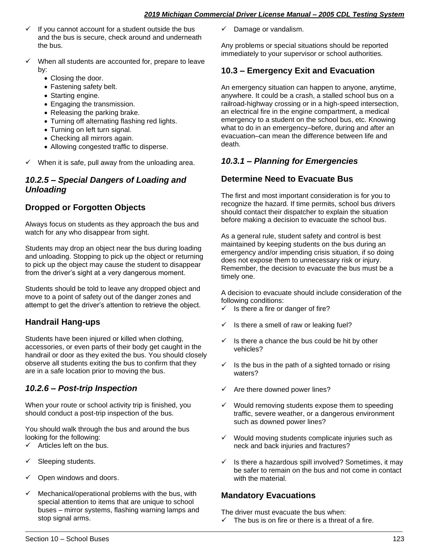- If you cannot account for a student outside the bus and the bus is secure, check around and underneath the bus.
- When all students are accounted for, prepare to leave by:
	- Closing the door.
	- Fastening safety belt.
	- Starting engine.
	- Engaging the transmission.
	- Releasing the parking brake.
	- Turning off alternating flashing red lights.
	- Turning on left turn signal.
	- Checking all mirrors again.
	- Allowing congested traffic to disperse.
- $\checkmark$  When it is safe, pull away from the unloading area.

#### *10.2.5 – Special Dangers of Loading and Unloading*

### **Dropped or Forgotten Objects**

Always focus on students as they approach the bus and watch for any who disappear from sight.

Students may drop an object near the bus during loading and unloading. Stopping to pick up the object or returning to pick up the object may cause the student to disappear from the driver's sight at a very dangerous moment.

Students should be told to leave any dropped object and move to a point of safety out of the danger zones and attempt to get the driver's attention to retrieve the object.

### **Handrail Hang-ups**

Students have been injured or killed when clothing, accessories, or even parts of their body get caught in the handrail or door as they exited the bus. You should closely observe all students exiting the bus to confirm that they are in a safe location prior to moving the bus.

### *10.2.6 – Post-trip Inspection*

When your route or school activity trip is finished, you should conduct a post-trip inspection of the bus.

You should walk through the bus and around the bus looking for the following:

- $\checkmark$  Articles left on the bus.
- Sleeping students.
- Open windows and doors.
- $\checkmark$  Mechanical/operational problems with the bus, with special attention to items that are unique to school buses – mirror systems, flashing warning lamps and stop signal arms.

✓ Damage or vandalism.

Any problems or special situations should be reported immediately to your supervisor or school authorities.

#### **10.3 – Emergency Exit and Evacuation**

An emergency situation can happen to anyone, anytime, anywhere. It could be a crash, a stalled school bus on a railroad-highway crossing or in a high-speed intersection, an electrical fire in the engine compartment, a medical emergency to a student on the school bus, etc. Knowing what to do in an emergency–before, during and after an evacuation–can mean the difference between life and death.

### *10.3.1 – Planning for Emergencies*

#### **Determine Need to Evacuate Bus**

The first and most important consideration is for you to recognize the hazard. If time permits, school bus drivers should contact their dispatcher to explain the situation before making a decision to evacuate the school bus.

As a general rule, student safety and control is best maintained by keeping students on the bus during an emergency and/or impending crisis situation, if so doing does not expose them to unnecessary risk or injury. Remember, the decision to evacuate the bus must be a timely one.

A decision to evacuate should include consideration of the following conditions:

- $\checkmark$  Is there a fire or danger of fire?
- $\checkmark$  Is there a smell of raw or leaking fuel?
- Is there a chance the bus could be hit by other vehicles?
- $\checkmark$  Is the bus in the path of a sighted tornado or rising waters?
- Are there downed power lines?
- Would removing students expose them to speeding traffic, severe weather, or a dangerous environment such as downed power lines?
- ✓ Would moving students complicate injuries such as neck and back injuries and fractures?
- ✓ Is there a hazardous spill involved? Sometimes, it may be safer to remain on the bus and not come in contact with the material.

#### **Mandatory Evacuations**

The driver must evacuate the bus when:

 $\checkmark$  The bus is on fire or there is a threat of a fire.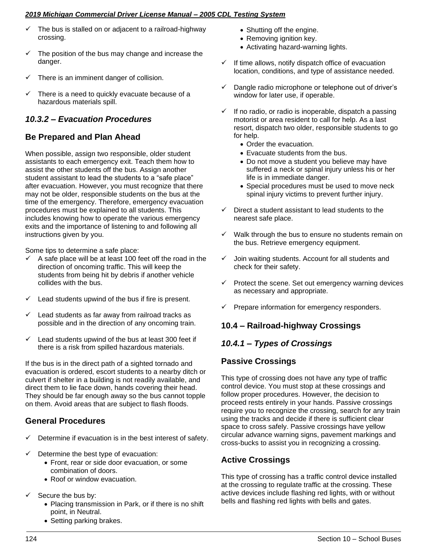- $\checkmark$  The bus is stalled on or adjacent to a railroad-highway crossing.
- $\checkmark$  The position of the bus may change and increase the danger.
- $\checkmark$  There is an imminent danger of collision.
- $\checkmark$  There is a need to quickly evacuate because of a hazardous materials spill.

# *10.3.2 – Evacuation Procedures*

### **Be Prepared and Plan Ahead**

When possible, assign two responsible, older student assistants to each emergency exit. Teach them how to assist the other students off the bus. Assign another student assistant to lead the students to a "safe place" after evacuation. However, you must recognize that there may not be older, responsible students on the bus at the time of the emergency. Therefore, emergency evacuation procedures must be explained to all students. This includes knowing how to operate the various emergency exits and the importance of listening to and following all instructions given by you.

Some tips to determine a safe place:

- A safe place will be at least 100 feet off the road in the direction of oncoming traffic. This will keep the students from being hit by debris if another vehicle collides with the bus.
- $\checkmark$  Lead students upwind of the bus if fire is present.
- Lead students as far away from railroad tracks as possible and in the direction of any oncoming train.
- Lead students upwind of the bus at least 300 feet if there is a risk from spilled hazardous materials.

If the bus is in the direct path of a sighted tornado and evacuation is ordered, escort students to a nearby ditch or culvert if shelter in a building is not readily available, and direct them to lie face down, hands covering their head. They should be far enough away so the bus cannot topple on them. Avoid areas that are subject to flash floods.

## **General Procedures**

- $\checkmark$  Determine if evacuation is in the best interest of safety.
- Determine the best type of evacuation:
	- Front, rear or side door evacuation, or some combination of doors.
	- Roof or window evacuation.
- Secure the bus by:
	- Placing transmission in Park, or if there is no shift point, in Neutral.
	- Setting parking brakes.
- Shutting off the engine.
- Removing ignition key.
- Activating hazard-warning lights.
- If time allows, notify dispatch office of evacuation location, conditions, and type of assistance needed.
- Dangle radio microphone or telephone out of driver's window for later use, if operable.
- If no radio, or radio is inoperable, dispatch a passing motorist or area resident to call for help. As a last resort, dispatch two older, responsible students to go for help.
	- Order the evacuation.
	- Evacuate students from the bus.
	- Do not move a student you believe may have suffered a neck or spinal injury unless his or her life is in immediate danger.
	- Special procedures must be used to move neck spinal injury victims to prevent further injury.
- Direct a student assistant to lead students to the nearest safe place.
- $\checkmark$  Walk through the bus to ensure no students remain on the bus. Retrieve emergency equipment.
- ✓ Join waiting students. Account for all students and check for their safety.
- $\checkmark$  Protect the scene. Set out emergency warning devices as necessary and appropriate.
- Prepare information for emergency responders.

# **10.4 – Railroad-highway Crossings**

## *10.4.1 – Types of Crossings*

## **Passive Crossings**

This type of crossing does not have any type of traffic control device. You must stop at these crossings and follow proper procedures. However, the decision to proceed rests entirely in your hands. Passive crossings require you to recognize the crossing, search for any train using the tracks and decide if there is sufficient clear space to cross safely. Passive crossings have yellow circular advance warning signs, pavement markings and cross-bucks to assist you in recognizing a crossing.

# **Active Crossings**

This type of crossing has a traffic control device installed at the crossing to regulate traffic at the crossing. These active devices include flashing red lights, with or without bells and flashing red lights with bells and gates.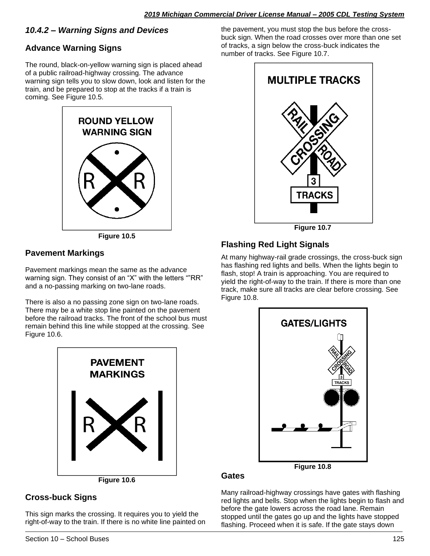### *10.4.2 – Warning Signs and Devices*

### **Advance Warning Signs**

The round, black-on-yellow warning sign is placed ahead of a public railroad-highway crossing. The advance warning sign tells you to slow down, look and listen for the train, and be prepared to stop at the tracks if a train is coming. See Figure 10.5.



**Figure 10.5**

#### **Pavement Markings**

Pavement markings mean the same as the advance warning sign. They consist of an "X" with the letters ""RR" and a no-passing marking on two-lane roads.

There is also a no passing zone sign on two-lane roads. There may be a white stop line painted on the pavement before the railroad tracks. The front of the school bus must remain behind this line while stopped at the crossing. See Figure 10.6.



**Figure 10.6**

### **Cross-buck Signs**

This sign marks the crossing. It requires you to yield the right-of-way to the train. If there is no white line painted on the pavement, you must stop the bus before the crossbuck sign. When the road crosses over more than one set of tracks, a sign below the cross-buck indicates the number of tracks. See Figure 10.7.



**Figure 10.7**

### **Flashing Red Light Signals**

At many highway-rail grade crossings, the cross-buck sign has flashing red lights and bells. When the lights begin to flash, stop! A train is approaching. You are required to yield the right-of-way to the train. If there is more than one track, make sure all tracks are clear before crossing. See Figure 10.8.



**Figure 10.8**

#### **Gates**

Many railroad-highway crossings have gates with flashing red lights and bells. Stop when the lights begin to flash and before the gate lowers across the road lane. Remain stopped until the gates go up and the lights have stopped flashing. Proceed when it is safe. If the gate stays down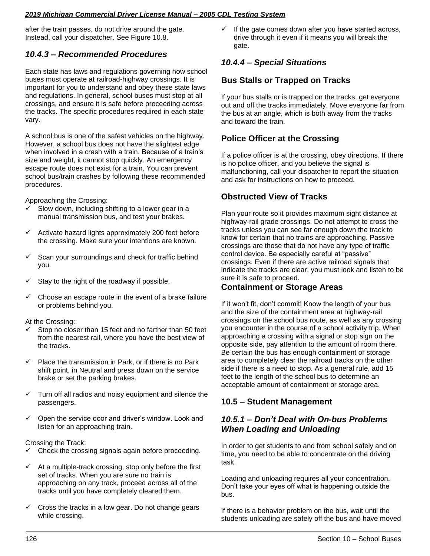after the train passes, do not drive around the gate. Instead, call your dispatcher. See Figure 10.8.

## *10.4.3 – Recommended Procedures*

Each state has laws and regulations governing how school buses must operate at railroad-highway crossings. It is important for you to understand and obey these state laws and regulations. In general, school buses must stop at all crossings, and ensure it is safe before proceeding across the tracks. The specific procedures required in each state vary.

A school bus is one of the safest vehicles on the highway. However, a school bus does not have the slightest edge when involved in a crash with a train. Because of a train's size and weight, it cannot stop quickly. An emergency escape route does not exist for a train. You can prevent school bus/train crashes by following these recommended procedures.

Approaching the Crossing:

- Slow down, including shifting to a lower gear in a manual transmission bus, and test your brakes.
- $\checkmark$  Activate hazard lights approximately 200 feet before the crossing. Make sure your intentions are known.
- $\checkmark$  Scan your surroundings and check for traffic behind you.
- Stay to the right of the roadway if possible.
- $\checkmark$  Choose an escape route in the event of a brake failure or problems behind you.

#### At the Crossing:

- Stop no closer than 15 feet and no farther than 50 feet from the nearest rail, where you have the best view of the tracks.
- Place the transmission in Park, or if there is no Park shift point, in Neutral and press down on the service brake or set the parking brakes.
- $\checkmark$  Turn off all radios and noisy equipment and silence the passengers.
- $\checkmark$  Open the service door and driver's window. Look and listen for an approaching train.

Crossing the Track:

- Check the crossing signals again before proceeding.
- At a multiple-track crossing, stop only before the first set of tracks. When you are sure no train is approaching on any track, proceed across all of the tracks until you have completely cleared them.
- $\checkmark$  Cross the tracks in a low gear. Do not change gears while crossing.

 $\checkmark$  If the gate comes down after you have started across, drive through it even if it means you will break the gate.

# *10.4.4 – Special Situations*

### **Bus Stalls or Trapped on Tracks**

If your bus stalls or is trapped on the tracks, get everyone out and off the tracks immediately. Move everyone far from the bus at an angle, which is both away from the tracks and toward the train.

# **Police Officer at the Crossing**

If a police officer is at the crossing, obey directions. If there is no police officer, and you believe the signal is malfunctioning, call your dispatcher to report the situation and ask for instructions on how to proceed.

#### **Obstructed View of Tracks**

Plan your route so it provides maximum sight distance at highway-rail grade crossings. Do not attempt to cross the tracks unless you can see far enough down the track to know for certain that no trains are approaching. Passive crossings are those that do not have any type of traffic control device. Be especially careful at "passive" crossings. Even if there are active railroad signals that indicate the tracks are clear, you must look and listen to be sure it is safe to proceed.

#### **Containment or Storage Areas**

If it won't fit, don't commit! Know the length of your bus and the size of the containment area at highway-rail crossings on the school bus route, as well as any crossing you encounter in the course of a school activity trip. When approaching a crossing with a signal or stop sign on the opposite side, pay attention to the amount of room there. Be certain the bus has enough containment or storage area to completely clear the railroad tracks on the other side if there is a need to stop. As a general rule, add 15 feet to the length of the school bus to determine an acceptable amount of containment or storage area.

#### **10.5 – Student Management**

#### *10.5.1 – Don't Deal with On-bus Problems When Loading and Unloading*

In order to get students to and from school safely and on time, you need to be able to concentrate on the driving task.

Loading and unloading requires all your concentration. Don't take your eyes off what is happening outside the bus.

If there is a behavior problem on the bus, wait until the students unloading are safely off the bus and have moved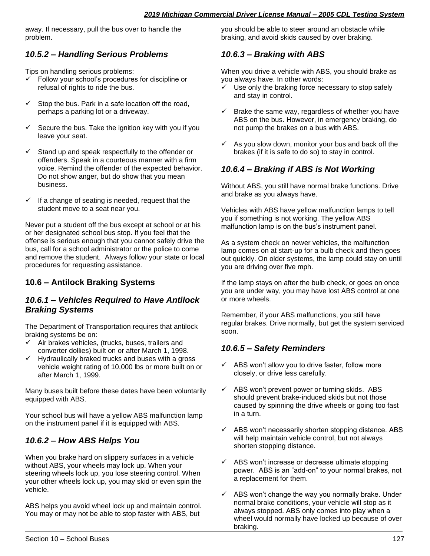away. If necessary, pull the bus over to handle the problem.

#### *10.5.2 – Handling Serious Problems*

Tips on handling serious problems:

- Follow your school's procedures for discipline or refusal of rights to ride the bus.
- $\checkmark$  Stop the bus. Park in a safe location off the road, perhaps a parking lot or a driveway.
- Secure the bus. Take the ignition key with you if you leave your seat.
- $\checkmark$  Stand up and speak respectfully to the offender or offenders. Speak in a courteous manner with a firm voice. Remind the offender of the expected behavior. Do not show anger, but do show that you mean business.
- If a change of seating is needed, request that the student move to a seat near you.

Never put a student off the bus except at school or at his or her designated school bus stop. If you feel that the offense is serious enough that you cannot safely drive the bus, call for a school administrator or the police to come and remove the student. Always follow your state or local procedures for requesting assistance.

### **10.6 – Antilock Braking Systems**

#### *10.6.1 – Vehicles Required to Have Antilock Braking Systems*

The Department of Transportation requires that antilock braking systems be on:

- $\checkmark$  Air brakes vehicles, (trucks, buses, trailers and converter dollies) built on or after March 1, 1998.
- $\checkmark$  Hydraulically braked trucks and buses with a gross vehicle weight rating of 10,000 lbs or more built on or after March 1, 1999.

Many buses built before these dates have been voluntarily equipped with ABS.

Your school bus will have a yellow ABS malfunction lamp on the instrument panel if it is equipped with ABS.

#### *10.6.2 – How ABS Helps You*

When you brake hard on slippery surfaces in a vehicle without ABS, your wheels may lock up. When your steering wheels lock up, you lose steering control. When your other wheels lock up, you may skid or even spin the vehicle.

ABS helps you avoid wheel lock up and maintain control. You may or may not be able to stop faster with ABS, but

you should be able to steer around an obstacle while braking, and avoid skids caused by over braking.

### *10.6.3 – Braking with ABS*

When you drive a vehicle with ABS, you should brake as you always have. In other words:

- Use only the braking force necessary to stop safely and stay in control.
- $\checkmark$  Brake the same way, regardless of whether you have ABS on the bus. However, in emergency braking, do not pump the brakes on a bus with ABS.
- $\checkmark$  As you slow down, monitor your bus and back off the brakes (if it is safe to do so) to stay in control.

### *10.6.4 – Braking if ABS is Not Working*

Without ABS, you still have normal brake functions. Drive and brake as you always have.

Vehicles with ABS have yellow malfunction lamps to tell you if something is not working. The yellow ABS malfunction lamp is on the bus's instrument panel.

As a system check on newer vehicles, the malfunction lamp comes on at start-up for a bulb check and then goes out quickly. On older systems, the lamp could stay on until you are driving over five mph.

If the lamp stays on after the bulb check, or goes on once you are under way, you may have lost ABS control at one or more wheels.

Remember, if your ABS malfunctions, you still have regular brakes. Drive normally, but get the system serviced soon.

#### *10.6.5 – Safety Reminders*

- $\checkmark$  ABS won't allow you to drive faster, follow more closely, or drive less carefully.
- $\checkmark$  ABS won't prevent power or turning skids. ABS should prevent brake-induced skids but not those caused by spinning the drive wheels or going too fast in a turn.
- ✓ ABS won't necessarily shorten stopping distance. ABS will help maintain vehicle control, but not always shorten stopping distance.
- $\checkmark$  ABS won't increase or decrease ultimate stopping power. ABS is an "add-on" to your normal brakes, not a replacement for them.
- $\checkmark$  ABS won't change the way you normally brake. Under normal brake conditions, your vehicle will stop as it always stopped. ABS only comes into play when a wheel would normally have locked up because of over braking.